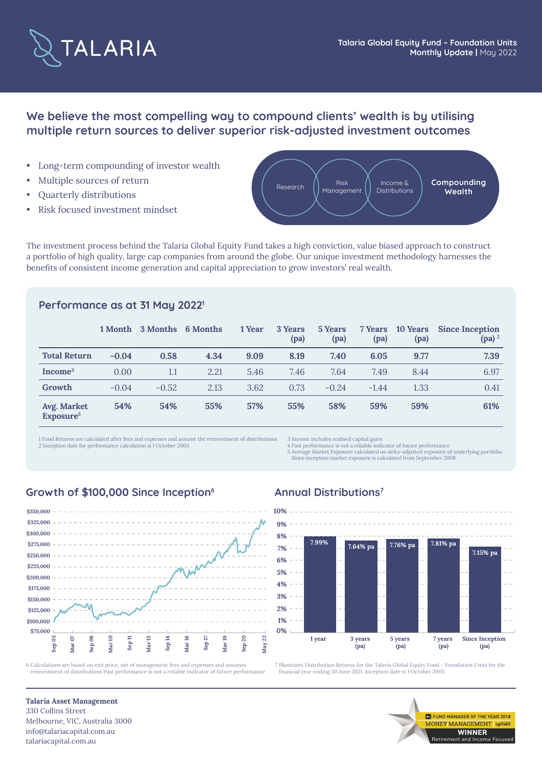

# **We believe the most compelling way to compound clients' wealth is by utilising multiple return sources to deliver superior risk-adjusted investment outcomes**

- Long-term compounding of investor wealth
- Multiple sources of return
- Quarterly distributions
- Risk focused investment mindset



The investment process behind the Talaria Global Equity Fund takes a high conviction, value biased approach to construct a portfolio of high quality, large cap companies from around the globe. Our unique investment methodology harnesses the benefits of consistent income generation and capital appreciation to grow investors' real wealth.

## **Performance as at 31 May 20221**

|                                      |         | 1 Month 3 Months | 6 Months | 1 Year | 3 Years<br>(pa) | 5 Years<br>(pa) | 7 Years<br>(pa) | 10 Years<br>(pa) | <b>Since Inception</b><br>$(pa)^2$ |
|--------------------------------------|---------|------------------|----------|--------|-----------------|-----------------|-----------------|------------------|------------------------------------|
| <b>Total Return</b>                  | $-0.04$ | 0.58             | 4.34     | 9.09   | 8.19            | 7.40            | 6.05            | 9.77             | 7.39                               |
| Income <sup>3</sup>                  | 0.00    | 1.1              | 2.21     | 5.46   | 7.46            | 7.64            | 7.49            | 8.44             | 6.97                               |
| Growth                               | $-0.04$ | $-0.52$          | 2.13     | 3.62   | 0.73            | $-0.24$         | $-1.44$         | 1.33             | 0.41                               |
| Avg. Market<br>Exposure <sup>5</sup> | 54%     | 54%              | 55%      | 57%    | 55%             | 58%             | 59%             | 59%              | 61%                                |

1 Fund Returns are calculated after fees and expenses and assume the reinvestment of distributions 2 Inception date for performance calculation is 1 October 2005

3 Income includes realised capital gains 4 Past performance is not a reliable indicator of future performance

5 Average Market Exposure calculated on delta-adjusted exposure of underlying portfolio. Since inception market exposure is calculated from September 2008

### Growth of \$100,000 Since Inception<sup>6</sup> Annual Distributions<sup>7</sup>



6 Calculations are based on exit price, net of management fees and expenses and assumes reinvestment of distributions Past performance is not a reliable indicator of future performance



7 Illustrates Distribution Returns for the Talaria Global Equity Fund - Foundation Units for the financial year ending 30 June 2021. Inception date is 1 October 2005

> Retirement and Income Focused **WINNER**

**MARGER OF THE YEAR 2018** NEY MANAGEMENT Lons

**Talaria Asset Management** 330 Collins Street Melbourne, VIC, Australia 3000 info@talariacapital.com.au talariacapital.com.au